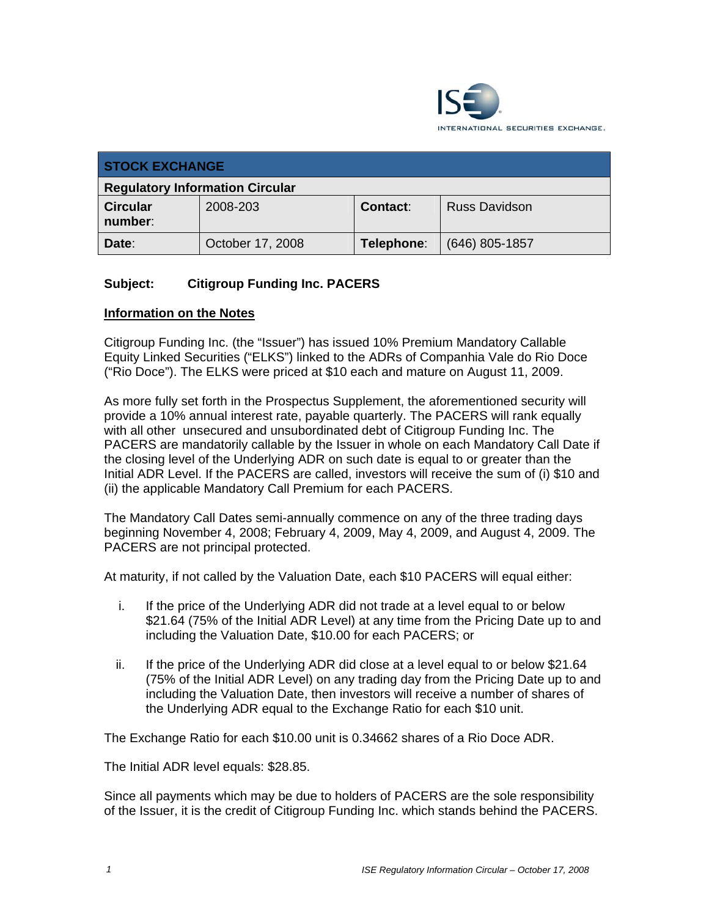

| <b>STOCK EXCHANGE</b>                  |                  |            |                      |  |  |
|----------------------------------------|------------------|------------|----------------------|--|--|
| <b>Regulatory Information Circular</b> |                  |            |                      |  |  |
| <b>Circular</b><br>number:             | 2008-203         | Contact:   | <b>Russ Davidson</b> |  |  |
| Date:                                  | October 17, 2008 | Telephone: | $(646)$ 805-1857     |  |  |

## **Subject: Citigroup Funding Inc. PACERS**

## **Information on the Notes**

Citigroup Funding Inc. (the "Issuer") has issued 10% Premium Mandatory Callable Equity Linked Securities ("ELKS") linked to the ADRs of Companhia Vale do Rio Doce ("Rio Doce"). The ELKS were priced at \$10 each and mature on August 11, 2009.

As more fully set forth in the Prospectus Supplement, the aforementioned security will provide a 10% annual interest rate, payable quarterly. The PACERS will rank equally with all other unsecured and unsubordinated debt of Citigroup Funding Inc. The PACERS are mandatorily callable by the Issuer in whole on each Mandatory Call Date if the closing level of the Underlying ADR on such date is equal to or greater than the Initial ADR Level. If the PACERS are called, investors will receive the sum of (i) \$10 and (ii) the applicable Mandatory Call Premium for each PACERS.

The Mandatory Call Dates semi-annually commence on any of the three trading days beginning November 4, 2008; February 4, 2009, May 4, 2009, and August 4, 2009. The PACERS are not principal protected.

At maturity, if not called by the Valuation Date, each \$10 PACERS will equal either:

- i. If the price of the Underlying ADR did not trade at a level equal to or below \$21.64 (75% of the Initial ADR Level) at any time from the Pricing Date up to and including the Valuation Date, \$10.00 for each PACERS; or
- ii. If the price of the Underlying ADR did close at a level equal to or below \$21.64 (75% of the Initial ADR Level) on any trading day from the Pricing Date up to and including the Valuation Date, then investors will receive a number of shares of the Underlying ADR equal to the Exchange Ratio for each \$10 unit.

The Exchange Ratio for each \$10.00 unit is 0.34662 shares of a Rio Doce ADR.

The Initial ADR level equals: \$28.85.

Since all payments which may be due to holders of PACERS are the sole responsibility of the Issuer, it is the credit of Citigroup Funding Inc. which stands behind the PACERS.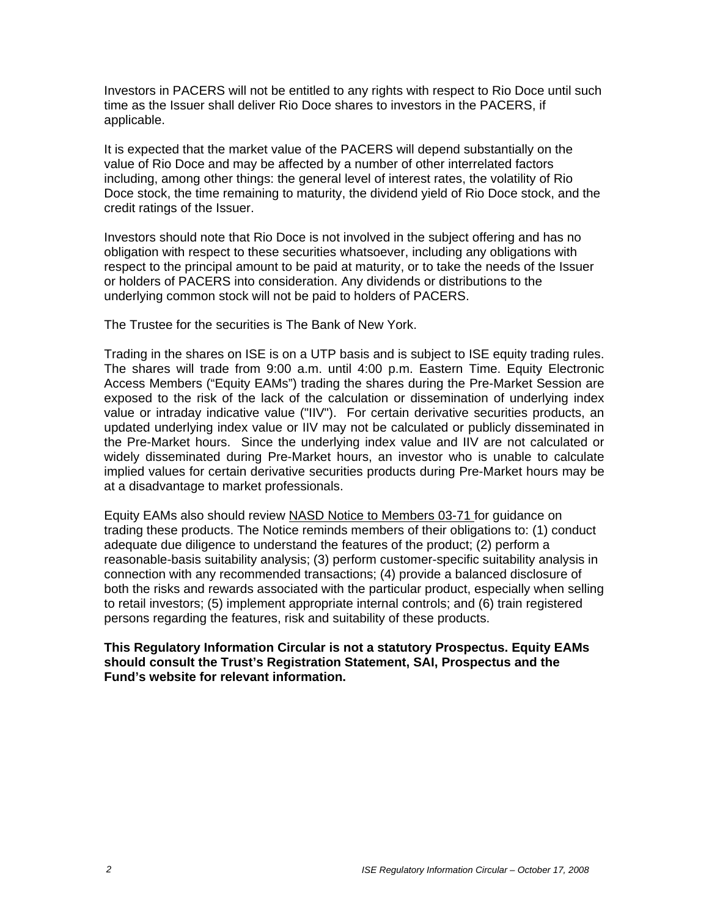Investors in PACERS will not be entitled to any rights with respect to Rio Doce until such time as the Issuer shall deliver Rio Doce shares to investors in the PACERS, if applicable.

It is expected that the market value of the PACERS will depend substantially on the value of Rio Doce and may be affected by a number of other interrelated factors including, among other things: the general level of interest rates, the volatility of Rio Doce stock, the time remaining to maturity, the dividend yield of Rio Doce stock, and the credit ratings of the Issuer.

Investors should note that Rio Doce is not involved in the subject offering and has no obligation with respect to these securities whatsoever, including any obligations with respect to the principal amount to be paid at maturity, or to take the needs of the Issuer or holders of PACERS into consideration. Any dividends or distributions to the underlying common stock will not be paid to holders of PACERS.

The Trustee for the securities is The Bank of New York.

Trading in the shares on ISE is on a UTP basis and is subject to ISE equity trading rules. The shares will trade from 9:00 a.m. until 4:00 p.m. Eastern Time. Equity Electronic Access Members ("Equity EAMs") trading the shares during the Pre-Market Session are exposed to the risk of the lack of the calculation or dissemination of underlying index value or intraday indicative value ("IIV"). For certain derivative securities products, an updated underlying index value or IIV may not be calculated or publicly disseminated in the Pre-Market hours. Since the underlying index value and IIV are not calculated or widely disseminated during Pre-Market hours, an investor who is unable to calculate implied values for certain derivative securities products during Pre-Market hours may be at a disadvantage to market professionals.

Equity EAMs also should review NASD Notice to Members 03-71 for guidance on trading these products. The Notice reminds members of their obligations to: (1) conduct adequate due diligence to understand the features of the product; (2) perform a reasonable-basis suitability analysis; (3) perform customer-specific suitability analysis in connection with any recommended transactions; (4) provide a balanced disclosure of both the risks and rewards associated with the particular product, especially when selling to retail investors; (5) implement appropriate internal controls; and (6) train registered persons regarding the features, risk and suitability of these products.

## **This Regulatory Information Circular is not a statutory Prospectus. Equity EAMs should consult the Trust's Registration Statement, SAI, Prospectus and the Fund's website for relevant information.**